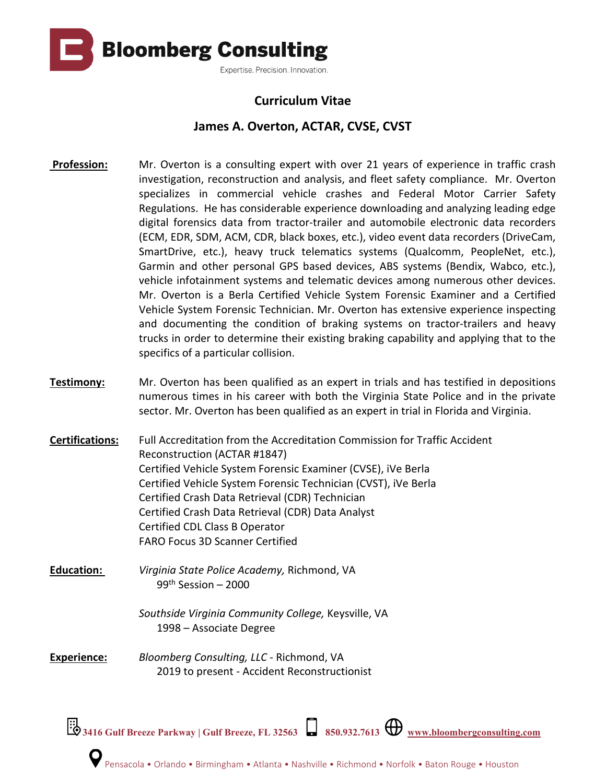

## **Curriculum Vitae**

## **James A. Overton, ACTAR, CVSE, CVST**

- **Profession:** Mr. Overton is a consulting expert with over 21 years of experience in traffic crash investigation, reconstruction and analysis, and fleet safety compliance. Mr. Overton specializes in commercial vehicle crashes and Federal Motor Carrier Safety Regulations. He has considerable experience downloading and analyzing leading edge digital forensics data from tractor-trailer and automobile electronic data recorders (ECM, EDR, SDM, ACM, CDR, black boxes, etc.), video event data recorders (DriveCam, SmartDrive, etc.), heavy truck telematics systems (Qualcomm, PeopleNet, etc.), Garmin and other personal GPS based devices, ABS systems (Bendix, Wabco, etc.), vehicle infotainment systems and telematic devices among numerous other devices. Mr. Overton is a Berla Certified Vehicle System Forensic Examiner and a Certified Vehicle System Forensic Technician. Mr. Overton has extensive experience inspecting and documenting the condition of braking systems on tractor-trailers and heavy trucks in order to determine their existing braking capability and applying that to the specifics of a particular collision.
- **Testimony:** Mr. Overton has been qualified as an expert in trials and has testified in depositions numerous times in his career with both the Virginia State Police and in the private sector. Mr. Overton has been qualified as an expert in trial in Florida and Virginia.
- **Certifications:** Full Accreditation from the Accreditation Commission for Traffic Accident Reconstruction (ACTAR #1847) Certified Vehicle System Forensic Examiner (CVSE), iVe Berla Certified Vehicle System Forensic Technician (CVST), iVe Berla Certified Crash Data Retrieval (CDR) Technician Certified Crash Data Retrieval (CDR) Data Analyst Certified CDL Class B Operator FARO Focus 3D Scanner Certified
- **Education:** *Virginia State Police Academy,* Richmond, VA  $99<sup>th</sup>$  Session – 2000

*Southside Virginia Community College,* Keysville, VA 1998 – Associate Degree

**Experience:** *Bloomberg Consulting, LLC* - Richmond, VA 2019 to present - Accident Reconstructionist

**3416 Gulf Breeze Parkway | Gulf Breeze, FL 32563 850.932.7613 [www.bloombergconsulting.com](http://www.bloombergconsulting.com/)**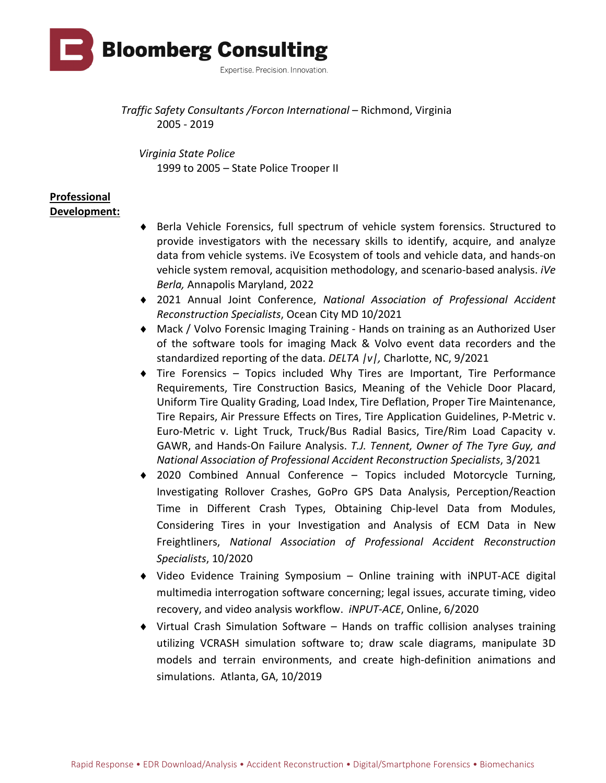

*Traffic Safety Consultants /Forcon International* – Richmond, Virginia 2005 - 2019

*Virginia State Police*  1999 to 2005 – State Police Trooper II

#### **Professional Development:**

- ♦ Berla Vehicle Forensics, full spectrum of vehicle system forensics. Structured to provide investigators with the necessary skills to identify, acquire, and analyze data from vehicle systems. iVe Ecosystem of tools and vehicle data, and hands-on vehicle system removal, acquisition methodology, and scenario-based analysis. *iVe Berla,* Annapolis Maryland, 2022
- ♦ 2021 Annual Joint Conference, *National Association of Professional Accident Reconstruction Specialists*, Ocean City MD 10/2021
- ♦ Mack / Volvo Forensic Imaging Training Hands on training as an Authorized User of the software tools for imaging Mack & Volvo event data recorders and the standardized reporting of the data. *DELTA |v|,* Charlotte, NC, 9/2021
- ♦ Tire Forensics Topics included Why Tires are Important, Tire Performance Requirements, Tire Construction Basics, Meaning of the Vehicle Door Placard, Uniform Tire Quality Grading, Load Index, Tire Deflation, Proper Tire Maintenance, Tire Repairs, Air Pressure Effects on Tires, Tire Application Guidelines, P-Metric v. Euro-Metric v. Light Truck, Truck/Bus Radial Basics, Tire/Rim Load Capacity v. GAWR, and Hands-On Failure Analysis. *T.J. Tennent, Owner of The Tyre Guy, and National Association of Professional Accident Reconstruction Specialists*, 3/2021
- ♦ 2020 Combined Annual Conference Topics included Motorcycle Turning, Investigating Rollover Crashes, GoPro GPS Data Analysis, Perception/Reaction Time in Different Crash Types, Obtaining Chip-level Data from Modules, Considering Tires in your Investigation and Analysis of ECM Data in New Freightliners, *National Association of Professional Accident Reconstruction Specialists*, 10/2020
- ♦ Video Evidence Training Symposium Online training with iNPUT-ACE digital multimedia interrogation software concerning; legal issues, accurate timing, video recovery, and video analysis workflow. *iNPUT-ACE*, Online, 6/2020
- ♦ Virtual Crash Simulation Software Hands on traffic collision analyses training utilizing VCRASH simulation software to; draw scale diagrams, manipulate 3D models and terrain environments, and create high-definition animations and simulations. Atlanta, GA, 10/2019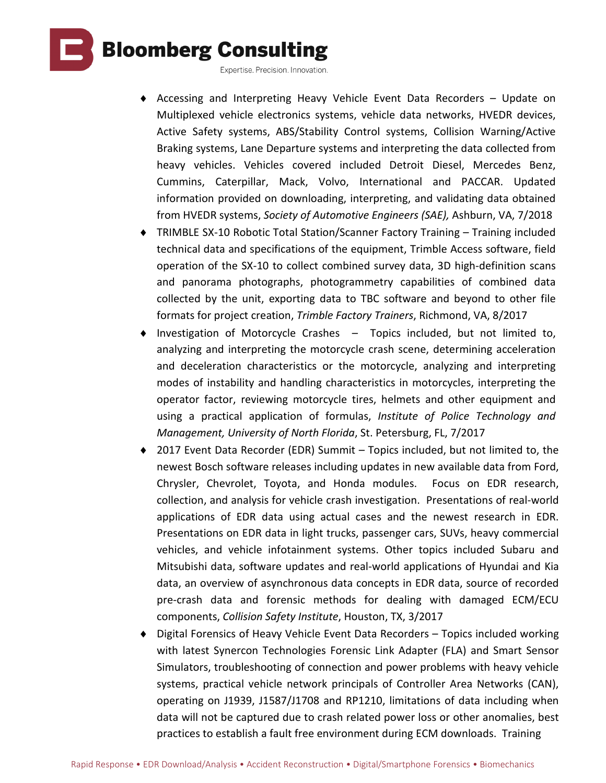

Expertise. Precision. Innovation.

- ♦ Accessing and Interpreting Heavy Vehicle Event Data Recorders Update on Multiplexed vehicle electronics systems, vehicle data networks, HVEDR devices, Active Safety systems, ABS/Stability Control systems, Collision Warning/Active Braking systems, Lane Departure systems and interpreting the data collected from heavy vehicles. Vehicles covered included Detroit Diesel, Mercedes Benz, Cummins, Caterpillar, Mack, Volvo, International and PACCAR. Updated information provided on downloading, interpreting, and validating data obtained from HVEDR systems, *Society of Automotive Engineers (SAE),* Ashburn, VA, 7/2018
- ♦ TRIMBLE SX-10 Robotic Total Station/Scanner Factory Training Training included technical data and specifications of the equipment, Trimble Access software, field operation of the SX-10 to collect combined survey data, 3D high-definition scans and panorama photographs, photogrammetry capabilities of combined data collected by the unit, exporting data to TBC software and beyond to other file formats for project creation, *Trimble Factory Trainers*, Richmond, VA, 8/2017
- ♦ Investigation of Motorcycle Crashes Topics included, but not limited to, analyzing and interpreting the motorcycle crash scene, determining acceleration and deceleration characteristics or the motorcycle, analyzing and interpreting modes of instability and handling characteristics in motorcycles, interpreting the operator factor, reviewing motorcycle tires, helmets and other equipment and using a practical application of formulas, *Institute of Police Technology and Management, University of North Florida*, St. Petersburg, FL, 7/2017
- ♦ 2017 Event Data Recorder (EDR) Summit Topics included, but not limited to, the newest Bosch software releases including updates in new available data from Ford, Chrysler, Chevrolet, Toyota, and Honda modules. Focus on EDR research, collection, and analysis for vehicle crash investigation. Presentations of real-world applications of EDR data using actual cases and the newest research in EDR. Presentations on EDR data in light trucks, passenger cars, SUVs, heavy commercial vehicles, and vehicle infotainment systems. Other topics included Subaru and Mitsubishi data, software updates and real-world applications of Hyundai and Kia data, an overview of asynchronous data concepts in EDR data, source of recorded pre-crash data and forensic methods for dealing with damaged ECM/ECU components, *Collision Safety Institute*, Houston, TX, 3/2017
- ♦ Digital Forensics of Heavy Vehicle Event Data Recorders Topics included working with latest Synercon Technologies Forensic Link Adapter (FLA) and Smart Sensor Simulators, troubleshooting of connection and power problems with heavy vehicle systems, practical vehicle network principals of Controller Area Networks (CAN), operating on J1939, J1587/J1708 and RP1210, limitations of data including when data will not be captured due to crash related power loss or other anomalies, best practices to establish a fault free environment during ECM downloads. Training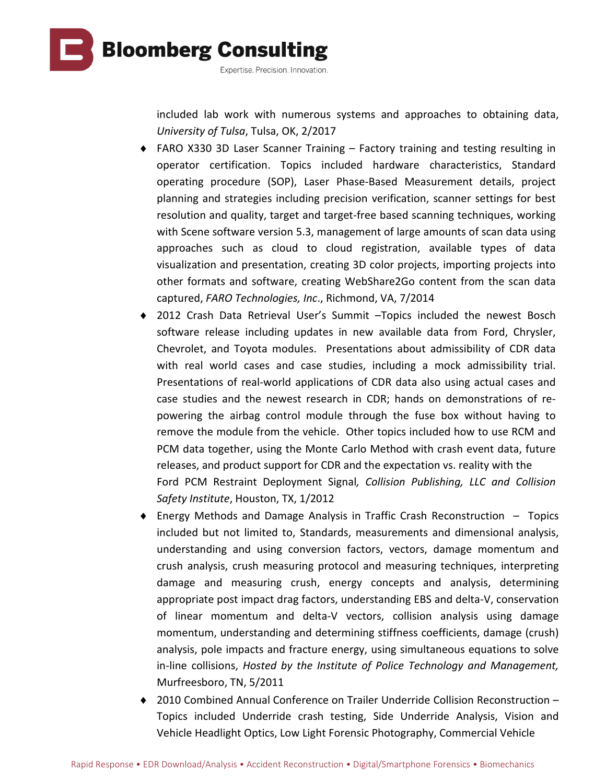

included lab work with numerous systems and approaches to obtaining data, *University of Tulsa*, Tulsa, OK, 2/2017

- ♦ FARO X330 3D Laser Scanner Training Factory training and testing resulting in operator certification. Topics included hardware characteristics, Standard operating procedure (SOP), Laser Phase-Based Measurement details, project planning and strategies including precision verification, scanner settings for best resolution and quality, target and target-free based scanning techniques, working with Scene software version 5.3, management of large amounts of scan data using approaches such as cloud to cloud registration, available types of data visualization and presentation, creating 3D color projects, importing projects into other formats and software, creating WebShare2Go content from the scan data captured, *FARO Technologies, Inc*., Richmond, VA, 7/2014
- ♦ 2012 Crash Data Retrieval User's Summit –Topics included the newest Bosch software release including updates in new available data from Ford, Chrysler, Chevrolet, and Toyota modules. Presentations about admissibility of CDR data with real world cases and case studies, including a mock admissibility trial. Presentations of real-world applications of CDR data also using actual cases and case studies and the newest research in CDR; hands on demonstrations of repowering the airbag control module through the fuse box without having to remove the module from the vehicle. Other topics included how to use RCM and PCM data together, using the Monte Carlo Method with crash event data, future releases, and product support for CDR and the expectation vs. reality with the Ford PCM Restraint Deployment Signal*, Collision Publishing, LLC and Collision Safety Institute*, Houston, TX, 1/2012
- ♦ Energy Methods and Damage Analysis in Traffic Crash Reconstruction Topics included but not limited to, Standards, measurements and dimensional analysis, understanding and using conversion factors, vectors, damage momentum and crush analysis, crush measuring protocol and measuring techniques, interpreting damage and measuring crush, energy concepts and analysis, determining appropriate post impact drag factors, understanding EBS and delta-V, conservation of linear momentum and delta-V vectors, collision analysis using damage momentum, understanding and determining stiffness coefficients, damage (crush) analysis, pole impacts and fracture energy, using simultaneous equations to solve in-line collisions, *Hosted by the Institute of Police Technology and Management,* Murfreesboro, TN, 5/2011
- ♦ 2010 Combined Annual Conference on Trailer Underride Collision Reconstruction Topics included Underride crash testing, Side Underride Analysis, Vision and Vehicle Headlight Optics, Low Light Forensic Photography, Commercial Vehicle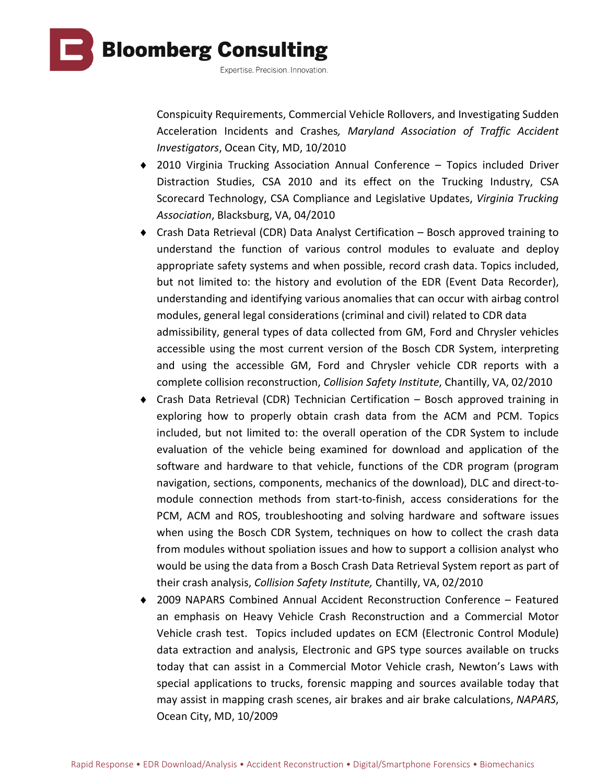

Conspicuity Requirements, Commercial Vehicle Rollovers, and Investigating Sudden Acceleration Incidents and Crashes*, Maryland Association of Traffic Accident Investigators*, Ocean City, MD, 10/2010

- ♦ 2010 Virginia Trucking Association Annual Conference Topics included Driver Distraction Studies, CSA 2010 and its effect on the Trucking Industry, CSA Scorecard Technology, CSA Compliance and Legislative Updates, *Virginia Trucking Association*, Blacksburg, VA, 04/2010
- ♦ Crash Data Retrieval (CDR) Data Analyst Certification Bosch approved training to understand the function of various control modules to evaluate and deploy appropriate safety systems and when possible, record crash data. Topics included, but not limited to: the history and evolution of the EDR (Event Data Recorder), understanding and identifying various anomalies that can occur with airbag control modules, general legal considerations (criminal and civil) related to CDR data admissibility, general types of data collected from GM, Ford and Chrysler vehicles accessible using the most current version of the Bosch CDR System, interpreting and using the accessible GM, Ford and Chrysler vehicle CDR reports with a complete collision reconstruction, *Collision Safety Institute*, Chantilly, VA, 02/2010
- ♦ Crash Data Retrieval (CDR) Technician Certification Bosch approved training in exploring how to properly obtain crash data from the ACM and PCM. Topics included, but not limited to: the overall operation of the CDR System to include evaluation of the vehicle being examined for download and application of the software and hardware to that vehicle, functions of the CDR program (program navigation, sections, components, mechanics of the download), DLC and direct-tomodule connection methods from start-to-finish, access considerations for the PCM, ACM and ROS, troubleshooting and solving hardware and software issues when using the Bosch CDR System, techniques on how to collect the crash data from modules without spoliation issues and how to support a collision analyst who would be using the data from a Bosch Crash Data Retrieval System report as part of their crash analysis, *Collision Safety Institute,* Chantilly, VA, 02/2010
- ♦ 2009 NAPARS Combined Annual Accident Reconstruction Conference Featured an emphasis on Heavy Vehicle Crash Reconstruction and a Commercial Motor Vehicle crash test. Topics included updates on ECM (Electronic Control Module) data extraction and analysis, Electronic and GPS type sources available on trucks today that can assist in a Commercial Motor Vehicle crash, Newton's Laws with special applications to trucks, forensic mapping and sources available today that may assist in mapping crash scenes, air brakes and air brake calculations, *NAPARS*, Ocean City, MD, 10/2009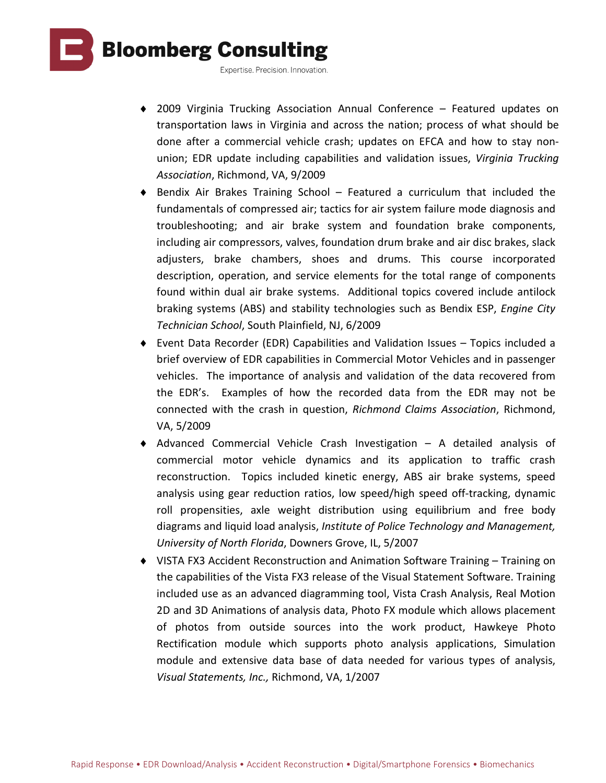

- ♦ 2009 Virginia Trucking Association Annual Conference Featured updates on transportation laws in Virginia and across the nation; process of what should be done after a commercial vehicle crash; updates on EFCA and how to stay nonunion; EDR update including capabilities and validation issues, *Virginia Trucking Association*, Richmond, VA, 9/2009
- ♦ Bendix Air Brakes Training School Featured a curriculum that included the fundamentals of compressed air; tactics for air system failure mode diagnosis and troubleshooting; and air brake system and foundation brake components, including air compressors, valves, foundation drum brake and air disc brakes, slack adjusters, brake chambers, shoes and drums. This course incorporated description, operation, and service elements for the total range of components found within dual air brake systems. Additional topics covered include antilock braking systems (ABS) and stability technologies such as Bendix ESP, *Engine City Technician School*, South Plainfield, NJ, 6/2009
- ♦ Event Data Recorder (EDR) Capabilities and Validation Issues Topics included a brief overview of EDR capabilities in Commercial Motor Vehicles and in passenger vehicles. The importance of analysis and validation of the data recovered from the EDR's. Examples of how the recorded data from the EDR may not be connected with the crash in question, *Richmond Claims Association*, Richmond, VA, 5/2009
- ♦ Advanced Commercial Vehicle Crash Investigation A detailed analysis of commercial motor vehicle dynamics and its application to traffic crash reconstruction. Topics included kinetic energy, ABS air brake systems, speed analysis using gear reduction ratios, low speed/high speed off-tracking, dynamic roll propensities, axle weight distribution using equilibrium and free body diagrams and liquid load analysis, *Institute of Police Technology and Management, University of North Florida*, Downers Grove, IL, 5/2007
- ♦ VISTA FX3 Accident Reconstruction and Animation Software Training Training on the capabilities of the Vista FX3 release of the Visual Statement Software. Training included use as an advanced diagramming tool, Vista Crash Analysis, Real Motion 2D and 3D Animations of analysis data, Photo FX module which allows placement of photos from outside sources into the work product, Hawkeye Photo Rectification module which supports photo analysis applications, Simulation module and extensive data base of data needed for various types of analysis, *Visual Statements, Inc.,* Richmond, VA, 1/2007